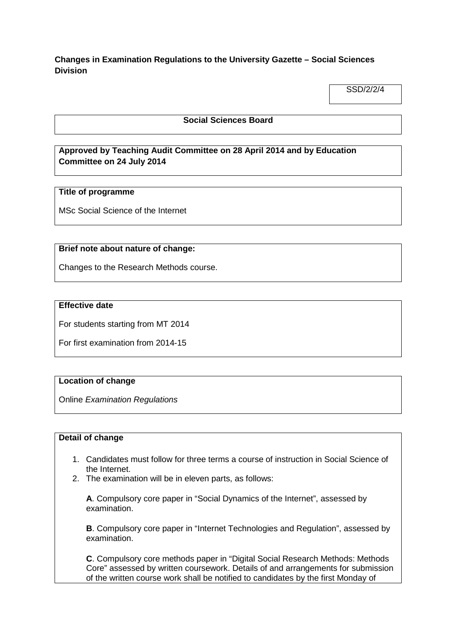# **Changes in Examination Regulations to the University Gazette – Social Sciences Division**

SSD/2/2/4

## **Social Sciences Board**

# **Approved by Teaching Audit Committee on 28 April 2014 and by Education Committee on 24 July 2014**

### **Title of programme**

MSc Social Science of the Internet

#### **Brief note about nature of change:**

Changes to the Research Methods course.

#### **Effective date**

For students starting from MT 2014

For first examination from 2014-15

### **Location of change**

Online *Examination Regulations*

#### **Detail of change**

- 1. Candidates must follow for three terms a course of instruction in Social Science of the Internet.
- 2. The examination will be in eleven parts, as follows:

**A**. Compulsory core paper in "Social Dynamics of the Internet", assessed by examination.

**B**. Compulsory core paper in "Internet Technologies and Regulation", assessed by examination.

**C**. Compulsory core methods paper in "Digital Social Research Methods: Methods Core" assessed by written coursework. Details of and arrangements for submission of the written course work shall be notified to candidates by the first Monday of